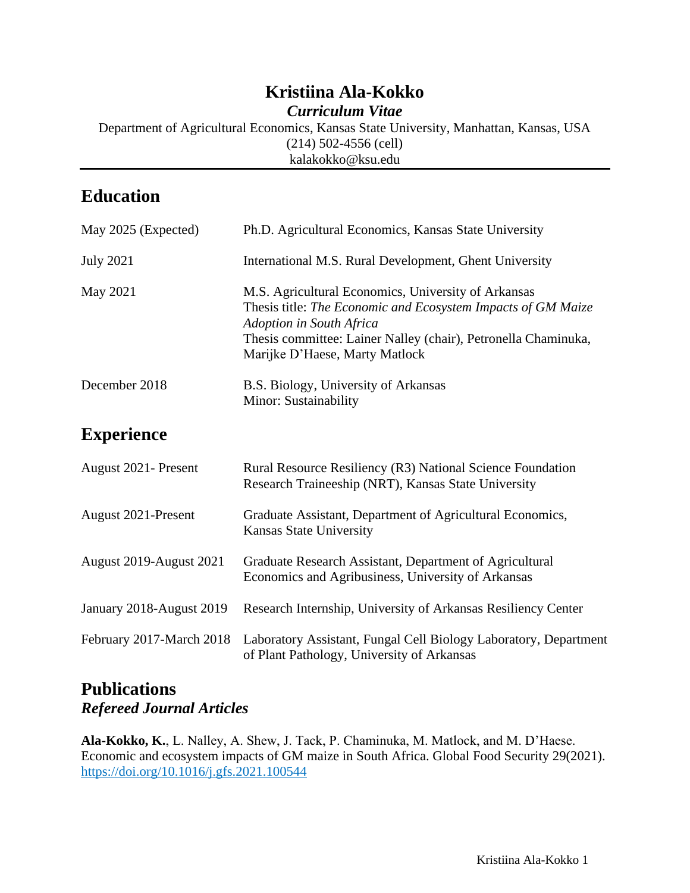# **Kristiina Ala-Kokko**

*Curriculum Vitae*

Department of Agricultural Economics, Kansas State University, Manhattan, Kansas, USA (214) 502-4556 (cell) kalakokko@ksu.edu

# **Education**

| May 2025 (Expected) | Ph.D. Agricultural Economics, Kansas State University                                                                                                                                                                                               |
|---------------------|-----------------------------------------------------------------------------------------------------------------------------------------------------------------------------------------------------------------------------------------------------|
| <b>July 2021</b>    | International M.S. Rural Development, Ghent University                                                                                                                                                                                              |
| May 2021            | M.S. Agricultural Economics, University of Arkansas<br>Thesis title: The Economic and Ecosystem Impacts of GM Maize<br>Adoption in South Africa<br>Thesis committee: Lainer Nalley (chair), Petronella Chaminuka,<br>Marijke D'Haese, Marty Matlock |
| December 2018       | B.S. Biology, University of Arkansas<br>Minor: Sustainability                                                                                                                                                                                       |

## **Experience**

| August 2021 - Present    | Rural Resource Resiliency (R3) National Science Foundation<br>Research Traineeship (NRT), Kansas State University |
|--------------------------|-------------------------------------------------------------------------------------------------------------------|
| August 2021-Present      | Graduate Assistant, Department of Agricultural Economics,<br><b>Kansas State University</b>                       |
| August 2019-August 2021  | Graduate Research Assistant, Department of Agricultural<br>Economics and Agribusiness, University of Arkansas     |
| January 2018-August 2019 | Research Internship, University of Arkansas Resiliency Center                                                     |
| February 2017-March 2018 | Laboratory Assistant, Fungal Cell Biology Laboratory, Department<br>of Plant Pathology, University of Arkansas    |

### **Publications** *Refereed Journal Articles*

**Ala-Kokko, K.**, L. Nalley, A. Shew, J. Tack, P. Chaminuka, M. Matlock, and M. D'Haese. Economic and ecosystem impacts of GM maize in South Africa. Global Food Security 29(2021). <https://doi.org/10.1016/j.gfs.2021.100544>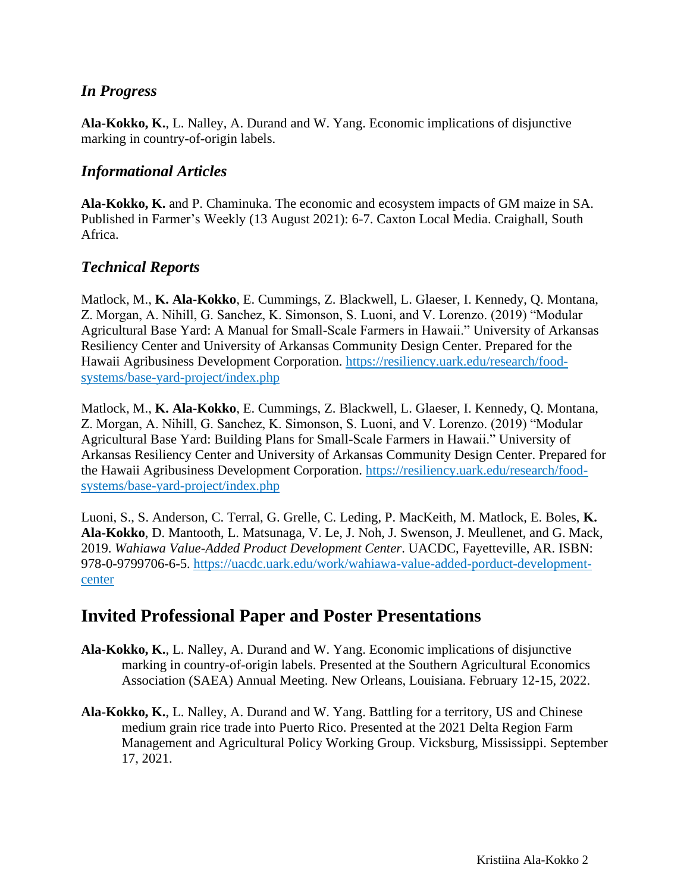#### *In Progress*

**Ala-Kokko, K.**, L. Nalley, A. Durand and W. Yang. Economic implications of disjunctive marking in country-of-origin labels.

#### *Informational Articles*

**Ala-Kokko, K.** and P. Chaminuka. The economic and ecosystem impacts of GM maize in SA. Published in Farmer's Weekly (13 August 2021): 6-7. Caxton Local Media. Craighall, South Africa.

#### *Technical Reports*

Matlock, M., **K. Ala-Kokko**, E. Cummings, Z. Blackwell, L. Glaeser, I. Kennedy, Q. Montana, Z. Morgan, A. Nihill, G. Sanchez, K. Simonson, S. Luoni, and V. Lorenzo. (2019) "Modular Agricultural Base Yard: A Manual for Small-Scale Farmers in Hawaii." University of Arkansas Resiliency Center and University of Arkansas Community Design Center. Prepared for the Hawaii Agribusiness Development Corporation. [https://resiliency.uark.edu/research/food](https://resiliency.uark.edu/research/food-systems/base-yard-project/index.php)[systems/base-yard-project/index.php](https://resiliency.uark.edu/research/food-systems/base-yard-project/index.php)

Matlock, M., **K. Ala-Kokko**, E. Cummings, Z. Blackwell, L. Glaeser, I. Kennedy, Q. Montana, Z. Morgan, A. Nihill, G. Sanchez, K. Simonson, S. Luoni, and V. Lorenzo. (2019) "Modular Agricultural Base Yard: Building Plans for Small-Scale Farmers in Hawaii." University of Arkansas Resiliency Center and University of Arkansas Community Design Center. Prepared for the Hawaii Agribusiness Development Corporation. [https://resiliency.uark.edu/research/food](https://resiliency.uark.edu/research/food-systems/base-yard-project/index.php)[systems/base-yard-project/index.php](https://resiliency.uark.edu/research/food-systems/base-yard-project/index.php)

Luoni, S., S. Anderson, C. Terral, G. Grelle, C. Leding, P. MacKeith, M. Matlock, E. Boles, **K. Ala-Kokko**, D. Mantooth, L. Matsunaga, V. Le, J. Noh, J. Swenson, J. Meullenet, and G. Mack, 2019. *Wahiawa Value-Added Product Development Center*. UACDC, Fayetteville, AR. ISBN: 978-0-9799706-6-5. [https://uacdc.uark.edu/work/wahiawa-value-added-porduct-development](https://uacdc.uark.edu/work/wahiawa-value-added-porduct-development-center)[center](https://uacdc.uark.edu/work/wahiawa-value-added-porduct-development-center)

### **Invited Professional Paper and Poster Presentations**

- **Ala-Kokko, K.**, L. Nalley, A. Durand and W. Yang. Economic implications of disjunctive marking in country-of-origin labels. Presented at the Southern Agricultural Economics Association (SAEA) Annual Meeting. New Orleans, Louisiana. February 12-15, 2022.
- **Ala-Kokko, K.**, L. Nalley, A. Durand and W. Yang. Battling for a territory, US and Chinese medium grain rice trade into Puerto Rico. Presented at the 2021 Delta Region Farm Management and Agricultural Policy Working Group. Vicksburg, Mississippi. September 17, 2021.